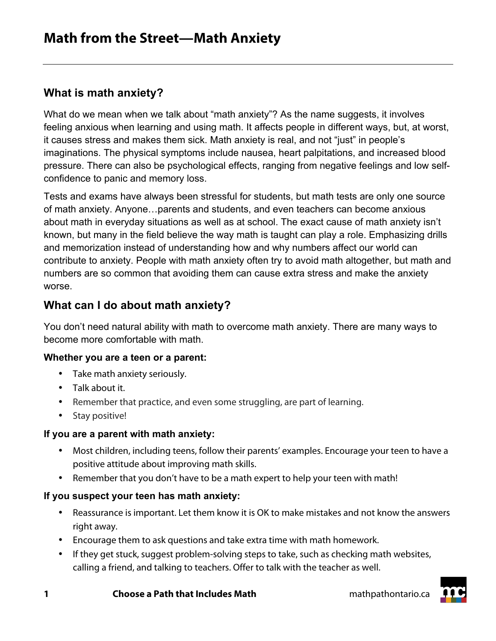# **What is math anxiety?**

What do we mean when we talk about "math anxiety"? As the name suggests, it involves feeling anxious when learning and using math. It affects people in different ways, but, at worst, it causes stress and makes them sick. Math anxiety is real, and not "just" in people's imaginations. The physical symptoms include nausea, heart palpitations, and increased blood pressure. There can also be psychological effects, ranging from negative feelings and low selfconfidence to panic and memory loss.

Tests and exams have always been stressful for students, but math tests are only one source of math anxiety. Anyone…parents and students, and even teachers can become anxious about math in everyday situations as well as at school. The exact cause of math anxiety isn't known, but many in the field believe the way math is taught can play a role. Emphasizing drills and memorization instead of understanding how and why numbers affect our world can contribute to anxiety. People with math anxiety often try to avoid math altogether, but math and numbers are so common that avoiding them can cause extra stress and make the anxiety worse.

## **What can I do about math anxiety?**

You don't need natural ability with math to overcome math anxiety. There are many ways to become more comfortable with math.

#### **Whether you are a teen or a parent:**

- Take math anxiety seriously.
- Talk about it.
- Remember that practice, and even some struggling, are part of learning.
- Stay positive!

## **If you are a parent with math anxiety:**

- Most children, including teens, follow their parents' examples. Encourage your teen to have a positive attitude about improving math skills.
- Remember that you don't have to be a math expert to help your teen with math!

## **If you suspect your teen has math anxiety:**

- Reassurance is important. Let them know it is OK to make mistakes and not know the answers right away.
- Encourage them to ask questions and take extra time with math homework.
- If they get stuck, suggest problem-solving steps to take, such as checking math websites, calling a friend, and talking to teachers. Offer to talk with the teacher as well.